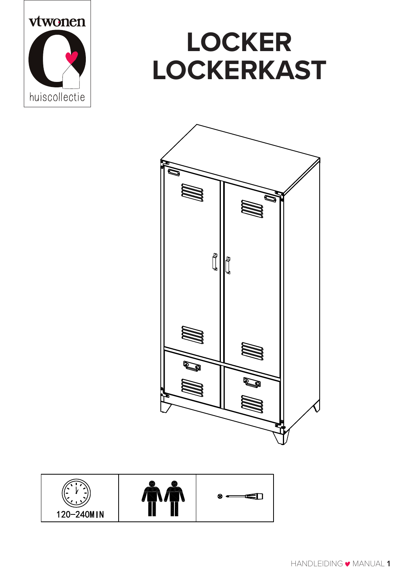

## **LOCKER LOCKERKAST**



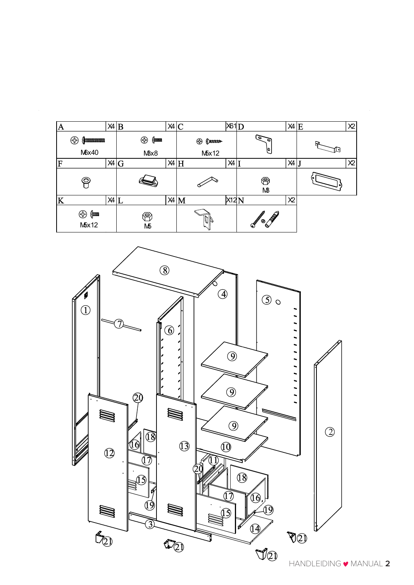| A |                        | $X4$ $B$ |                          | X4 C |                   | X61D |                          | $X4$ $E$       |   | X <sup>2</sup> |
|---|------------------------|----------|--------------------------|------|-------------------|------|--------------------------|----------------|---|----------------|
|   | ⊕                      |          | ⊕<br>$\{$ $\blacksquare$ |      | ⊕<br>$\downarrow$ |      | ಕ<br>s                   |                | c |                |
|   | M6x40                  |          | MBx8                     |      | M5x12             |      | ۱O.                      |                |   |                |
| F |                        | X4 G     |                          |      | $X4$ H            | X4   |                          | X4             |   | X <sup>2</sup> |
|   | $\widehat{\mathbf{C}}$ |          |                          |      |                   |      | ❀<br>M <sup>3</sup>      |                |   |                |
| K |                        | $X4$ $L$ |                          |      | $X4$ M            | X12N |                          | X <sup>2</sup> |   |                |
|   | ⊕<br>{ num<br>M5x12    |          | ⋐<br>МБ                  |      |                   |      | Company<br>$\mathscr{D}$ |                |   |                |

 $\hat{\mathcal{A}}$ 

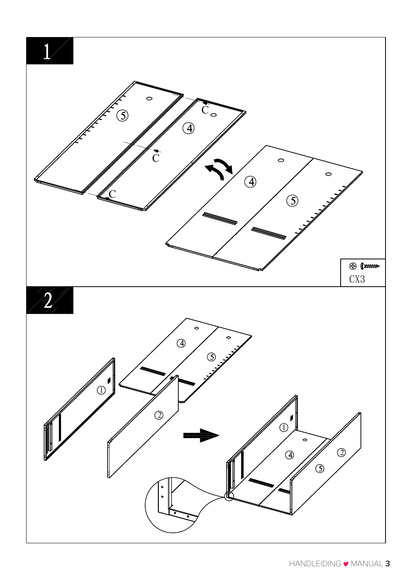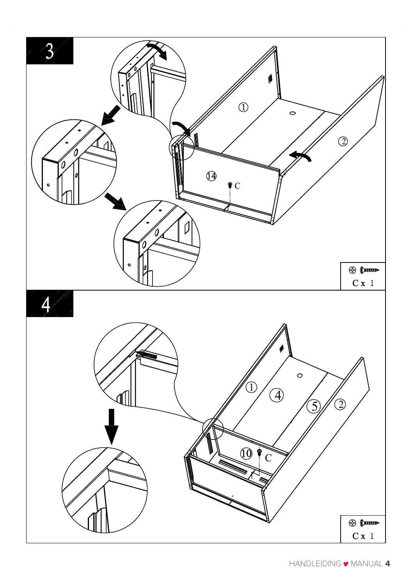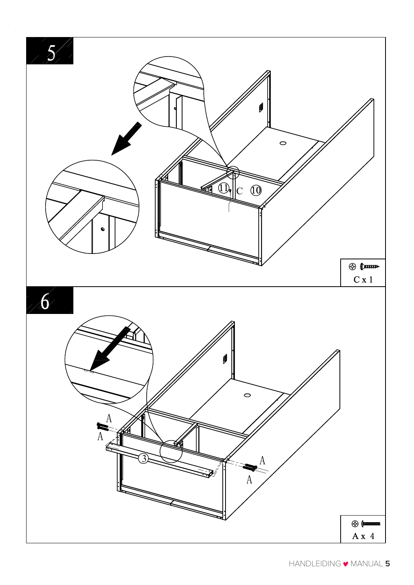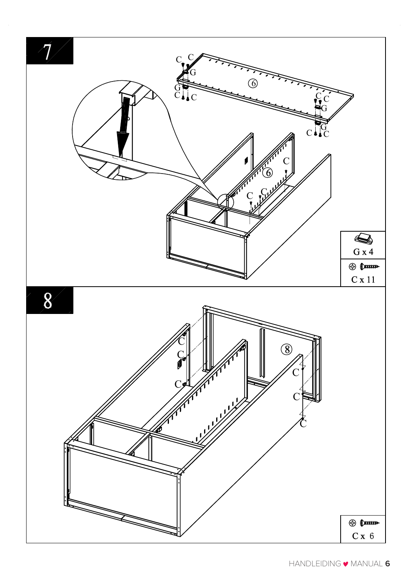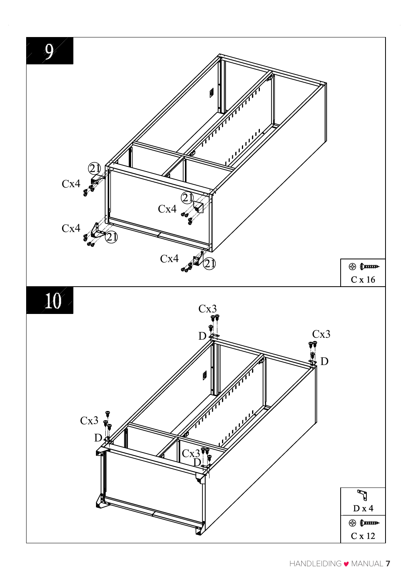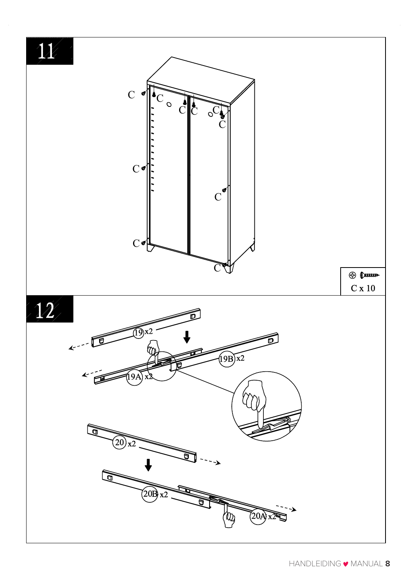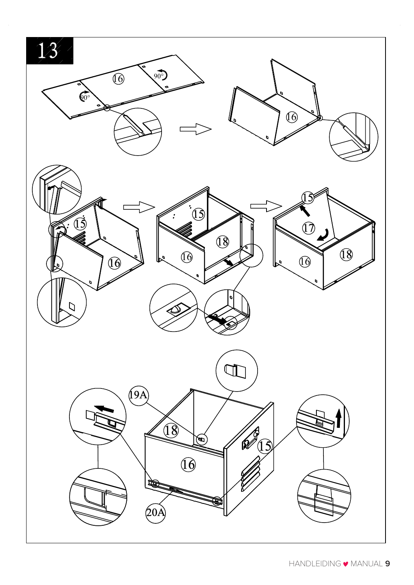$\sqrt{3}$ 

![](_page_8_Figure_1.jpeg)

![](_page_8_Picture_2.jpeg)

![](_page_8_Figure_3.jpeg)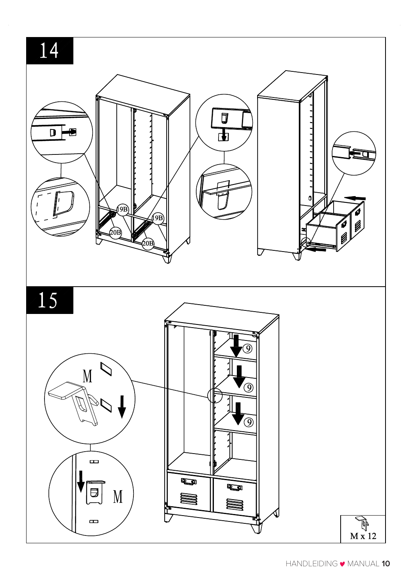14

![](_page_9_Figure_1.jpeg)